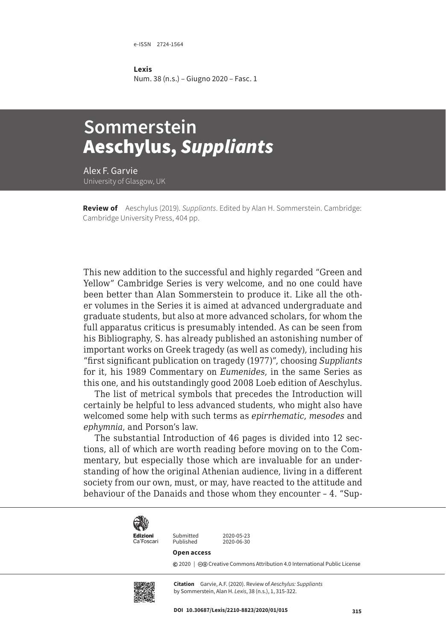e-ISSN 2724-1564

**Lexis** Num. 38 (n.s.) – Giugno 2020 – Fasc. 1

## **Sommerstein**  Aeschylus, *Suppliants*

Alex F. Garvie University of Glasgow, UK

**Review of** Aeschylus (2019). *Suppliants*. Edited by Alan H. Sommerstein. Cambridge: Cambridge University Press, 404 pp.

This new addition to the successful and highly regarded "Green and Yellow" Cambridge Series is very welcome, and no one could have been better than Alan Sommerstein to produce it. Like all the other volumes in the Series it is aimed at advanced undergraduate and graduate students, but also at more advanced scholars, for whom the full apparatus criticus is presumably intended. As can be seen from his Bibliography, S. has already published an astonishing number of important works on Greek tragedy (as well as comedy), including his "first significant publication on tragedy (1977)", choosing *Suppliants* for it, his 1989 Commentary on *Eumenides*, in the same Series as this one, and his outstandingly good 2008 Loeb edition of Aeschylus.

The list of metrical symbols that precedes the Introduction will certainly be helpful to less advanced students, who might also have welcomed some help with such terms as *epirrhematic*, *mesodes* and *ephymnia*, and Porson's law.

The substantial Introduction of 46 pages is divided into 12 sections, all of which are worth reading before moving on to the Commentary, but especially those which are invaluable for an understanding of how the original Athenian audience, living in a different society from our own, must, or may, have reacted to the attitude and behaviour of the Danaids and those whom they encounter – 4. "Sup-



Ca'Foscari

Submitted 2020-05-23<br>Published 2020-06-30

## **Open access**

Published

**©** 2020 | ©**O** [Creative Commons Attribution 4.0 International Public License](https://creativecommons.org/licenses/by/4.0/)



**Citation** Garvie, A.F. (2020). Review of *Aeschylus: Suppliants*  by Sommerstein, Alan H. *Lexis*, 38 (n.s.), 1, 315-322.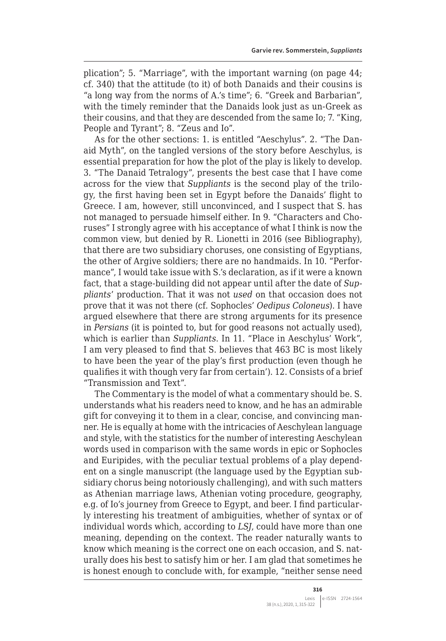plication"; 5. "Marriage", with the important warning (on page 44; cf. 340) that the attitude (to it) of both Danaids and their cousins is "a long way from the norms of A.'s time"; 6. "Greek and Barbarian", with the timely reminder that the Danaids look just as un-Greek as their cousins, and that they are descended from the same Io; 7. "King, People and Tyrant"; 8. "Zeus and Io".

As for the other sections: 1. is entitled "Aeschylus". 2. "The Danaid Myth", on the tangled versions of the story before Aeschylus, is essential preparation for how the plot of the play is likely to develop. 3. "The Danaid Tetralogy", presents the best case that I have come across for the view that *Suppliants* is the second play of the trilogy, the first having been set in Egypt before the Danaids' flight to Greece. I am, however, still unconvinced, and I suspect that S. has not managed to persuade himself either. In 9. "Characters and Choruses" I strongly agree with his acceptance of what I think is now the common view, but denied by R. Lionetti in 2016 (see Bibliography), that there are two subsidiary choruses, one consisting of Egyptians, the other of Argive soldiers; there are no handmaids. In 10. "Performance", I would take issue with S.'s declaration, as if it were a known fact, that a stage-building did not appear until after the date of *Suppliants*' production. That it was not *used* on that occasion does not prove that it was not there (cf. Sophocles' *Oedipus Coloneus*). I have argued elsewhere that there are strong arguments for its presence in *Persians* (it is pointed to, but for good reasons not actually used), which is earlier than *Suppliants*. In 11. "Place in Aeschylus' Work", I am very pleased to find that S. believes that 463 BC is most likely to have been the year of the play's first production (even though he qualifies it with though very far from certain'). 12. Consists of a brief "Transmission and Text".

The Commentary is the model of what a commentary should be. S. understands what his readers need to know, and he has an admirable gift for conveying it to them in a clear, concise, and convincing manner. He is equally at home with the intricacies of Aeschylean language and style, with the statistics for the number of interesting Aeschylean words used in comparison with the same words in epic or Sophocles and Euripides, with the peculiar textual problems of a play dependent on a single manuscript (the language used by the Egyptian subsidiary chorus being notoriously challenging), and with such matters as Athenian marriage laws, Athenian voting procedure, geography, e.g. of Io's journey from Greece to Egypt, and beer. I find particularly interesting his treatment of ambiguities, whether of syntax or of individual words which, according to *LSJ*, could have more than one meaning, depending on the context. The reader naturally wants to know which meaning is the correct one on each occasion, and S. naturally does his best to satisfy him or her. I am glad that sometimes he is honest enough to conclude with, for example, "neither sense need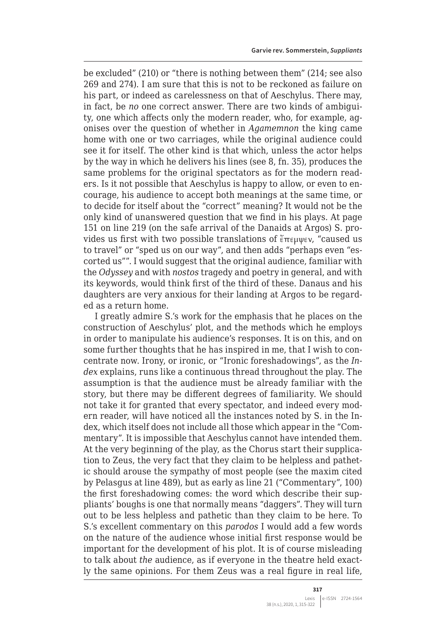be excluded" (210) or "there is nothing between them" (214; see also 269 and 274). I am sure that this is not to be reckoned as failure on his part, or indeed as carelessness on that of Aeschylus. There may, in fact, be *no* one correct answer. There are two kinds of ambiguity, one which affects only the modern reader, who, for example, agonises over the question of whether in *Agamemnon* the king came home with one or two carriages, while the original audience could see it for itself. The other kind is that which, unless the actor helps by the way in which he delivers his lines (see 8, fn. 35), produces the same problems for the original spectators as for the modern readers. Is it not possible that Aeschylus is happy to allow, or even to encourage, his audience to accept both meanings at the same time, or to decide for itself about the "correct" meaning? It would not be the only kind of unanswered question that we find in his plays. At page 151 on line 219 (on the safe arrival of the Danaids at Argos) S. provides us first with two possible translations of ἔπεμψεν, "caused us to travel" or "sped us on our way", and then adds "perhaps even "escorted us"". I would suggest that the original audience, familiar with the *Odyssey* and with *nostos* tragedy and poetry in general, and with its keywords, would think first of the third of these. Danaus and his daughters are very anxious for their landing at Argos to be regarded as a return home.

I greatly admire S.'s work for the emphasis that he places on the construction of Aeschylus' plot, and the methods which he employs in order to manipulate his audience's responses. It is on this, and on some further thoughts that he has inspired in me, that I wish to concentrate now. Irony, or ironic, or "Ironic foreshadowings", as the *Index* explains, runs like a continuous thread throughout the play. The assumption is that the audience must be already familiar with the story, but there may be different degrees of familiarity. We should not take it for granted that every spectator, and indeed every modern reader, will have noticed all the instances noted by S. in the Index, which itself does not include all those which appear in the "Commentary". It is impossible that Aeschylus cannot have intended them. At the very beginning of the play, as the Chorus start their supplication to Zeus, the very fact that they claim to be helpless and pathetic should arouse the sympathy of most people (see the maxim cited by Pelasgus at line 489), but as early as line 21 ("Commentary", 100) the first foreshadowing comes: the word which describe their suppliants' boughs is one that normally means "daggers". They will turn out to be less helpless and pathetic than they claim to be here. To S.'s excellent commentary on this *parodos* I would add a few words on the nature of the audience whose initial first response would be important for the development of his plot. It is of course misleading to talk about *the* audience, as if everyone in the theatre held exactly the same opinions. For them Zeus was a real figure in real life,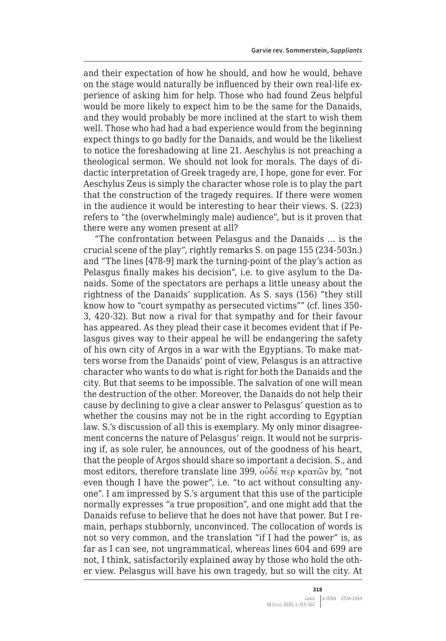and their expectation of how he should, and how he would, behave on the stage would naturally be influenced by their own real-life experience of asking him for help. Those who had found Zeus helpful would be more likely to expect him to be the same for the Danaids, and they would probably be more inclined at the start to wish them well. Those who had had a bad experience would from the beginning expect things to go badly for the Danaids, and would be the likeliest to notice the foreshadowing at line 21. Aeschylus is not preaching a theological sermon. We should not look for morals. The days of didactic interpretation of Greek tragedy are, I hope, gone for ever. For Aeschylus Zeus is simply the character whose role is to play the part that the construction of the tragedy requires. If there were women in the audience it would be interesting to hear their views. S. (223) refers to "the (overwhelmingly male) audience", but is it proven that there were any women present at all?

"The confrontation between Pelasgus and the Danaids … is the crucial scene of the play", rightly remarks S. on page 155 (234-503n.) and "The lines [478-9] mark the turning-point of the play's action as Pelasgus finally makes his decision", i.e. to give asylum to the Danaids. Some of the spectators are perhaps a little uneasy about the rightness of the Danaids' supplication. As S. says (156) "they still know how to "court sympathy as persecuted victims"" (cf. lines 350- 3, 420-32). But now a rival for that sympathy and for their favour has appeared. As they plead their case it becomes evident that if Pelasgus gives way to their appeal he will be endangering the safety of his own city of Argos in a war with the Egyptians. To make matters worse from the Danaids' point of view, Pelasgus is an attractive character who wants to do what is right for both the Danaids and the city. But that seems to be impossible. The salvation of one will mean the destruction of the other. Moreover, the Danaids do not help their cause by declining to give a clear answer to Pelasgus' question as to whether the cousins may not be in the right according to Egyptian law. S.'s discussion of all this is exemplary. My only minor disagreement concerns the nature of Pelasgus' reign. It would not be surprising if, as sole ruler, he announces, out of the goodness of his heart, that the people of Argos should share so important a decision. S., and most editors, therefore translate line 399, οὐδέ περ κρατῶν by, "not even though I have the power", i.e. "to act without consulting anyone". I am impressed by S.'s argument that this use of the participle normally expresses "a true proposition", and one might add that the Danaids refuse to believe that he does not have that power. But I remain, perhaps stubbornly, unconvinced. The collocation of words is not so very common, and the translation "if I had the power" is, as far as I can see, not ungrammatical, whereas lines 604 and 699 are not, I think, satisfactorily explained away by those who hold the other view. Pelasgus will have his own tragedy, but so will the city. At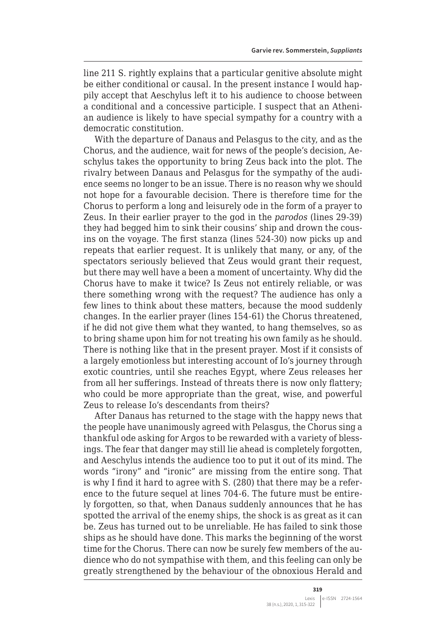line 211 S. rightly explains that a particular genitive absolute might be either conditional or causal. In the present instance I would happily accept that Aeschylus left it to his audience to choose between a conditional and a concessive participle. I suspect that an Athenian audience is likely to have special sympathy for a country with a democratic constitution.

With the departure of Danaus and Pelasgus to the city, and as the Chorus, and the audience, wait for news of the people's decision, Aeschylus takes the opportunity to bring Zeus back into the plot. The rivalry between Danaus and Pelasgus for the sympathy of the audience seems no longer to be an issue. There is no reason why we should not hope for a favourable decision. There is therefore time for the Chorus to perform a long and leisurely ode in the form of a prayer to Zeus. In their earlier prayer to the god in the *parodos* (lines 29-39) they had begged him to sink their cousins' ship and drown the cousins on the voyage. The first stanza (lines 524-30) now picks up and repeats that earlier request. It is unlikely that many, or any, of the spectators seriously believed that Zeus would grant their request, but there may well have a been a moment of uncertainty. Why did the Chorus have to make it twice? Is Zeus not entirely reliable, or was there something wrong with the request? The audience has only a few lines to think about these matters, because the mood suddenly changes. In the earlier prayer (lines 154-61) the Chorus threatened, if he did not give them what they wanted, to hang themselves, so as to bring shame upon him for not treating his own family as he should. There is nothing like that in the present prayer. Most if it consists of a largely emotionless but interesting account of Io's journey through exotic countries, until she reaches Egypt, where Zeus releases her from all her sufferings. Instead of threats there is now only flattery; who could be more appropriate than the great, wise, and powerful Zeus to release Io's descendants from theirs?

After Danaus has returned to the stage with the happy news that the people have unanimously agreed with Pelasgus, the Chorus sing a thankful ode asking for Argos to be rewarded with a variety of blessings. The fear that danger may still lie ahead is completely forgotten, and Aeschylus intends the audience too to put it out of its mind. The words "irony" and "ironic" are missing from the entire song. That is why I find it hard to agree with S. (280) that there may be a reference to the future sequel at lines 704-6. The future must be entirely forgotten, so that, when Danaus suddenly announces that he has spotted the arrival of the enemy ships, the shock is as great as it can be. Zeus has turned out to be unreliable. He has failed to sink those ships as he should have done. This marks the beginning of the worst time for the Chorus. There can now be surely few members of the audience who do not sympathise with them, and this feeling can only be greatly strengthened by the behaviour of the obnoxious Herald and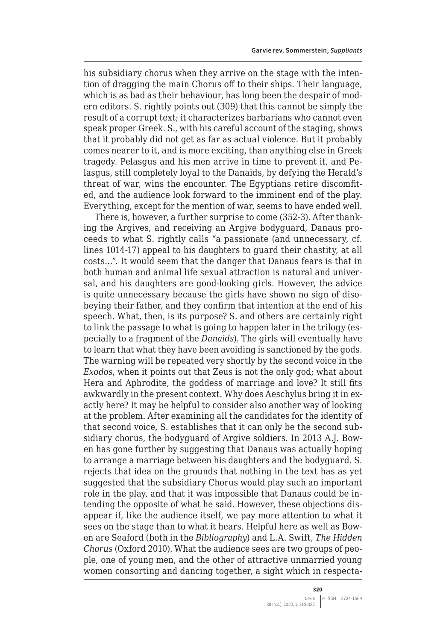his subsidiary chorus when they arrive on the stage with the intention of dragging the main Chorus off to their ships. Their language, which is as bad as their behaviour, has long been the despair of modern editors. S. rightly points out (309) that this cannot be simply the result of a corrupt text; it characterizes barbarians who cannot even speak proper Greek. S., with his careful account of the staging, shows that it probably did not get as far as actual violence. But it probably comes nearer to it, and is more exciting, than anything else in Greek tragedy. Pelasgus and his men arrive in time to prevent it, and Pelasgus, still completely loyal to the Danaids, by defying the Herald's threat of war, wins the encounter. The Egyptians retire discomfited, and the audience look forward to the imminent end of the play. Everything, except for the mention of war, seems to have ended well.

There is, however, a further surprise to come (352-3). After thanking the Argives, and receiving an Argive bodyguard, Danaus proceeds to what S. rightly calls "a passionate (and unnecessary, cf. lines 1014-17) appeal to his daughters to guard their chastity, at all costs…". It would seem that the danger that Danaus fears is that in both human and animal life sexual attraction is natural and universal, and his daughters are good-looking girls. However, the advice is quite unnecessary because the girls have shown no sign of disobeying their father, and they confirm that intention at the end of his speech. What, then, is its purpose? S. and others are certainly right to link the passage to what is going to happen later in the trilogy (especially to a fragment of the *Danaids*). The girls will eventually have to learn that what they have been avoiding is sanctioned by the gods. The warning will be repeated very shortly by the second voice in the *Exodos*, when it points out that Zeus is not the only god; what about Hera and Aphrodite, the goddess of marriage and love? It still fits awkwardly in the present context. Why does Aeschylus bring it in exactly here? It may be helpful to consider also another way of looking at the problem. After examining all the candidates for the identity of that second voice, S. establishes that it can only be the second subsidiary chorus, the bodyguard of Argive soldiers. In 2013 A.J. Bowen has gone further by suggesting that Danaus was actually hoping to arrange a marriage between his daughters and the bodyguard. S. rejects that idea on the grounds that nothing in the text has as yet suggested that the subsidiary Chorus would play such an important role in the play, and that it was impossible that Danaus could be intending the opposite of what he said. However, these objections disappear if, like the audience itself, we pay more attention to what it sees on the stage than to what it hears. Helpful here as well as Bowen are Seaford (both in the *Bibliography*) and L.A. Swift, *The Hidden Chorus* (Oxford 2010). What the audience sees are two groups of people, one of young men, and the other of attractive unmarried young women consorting and dancing together, a sight which in respecta-